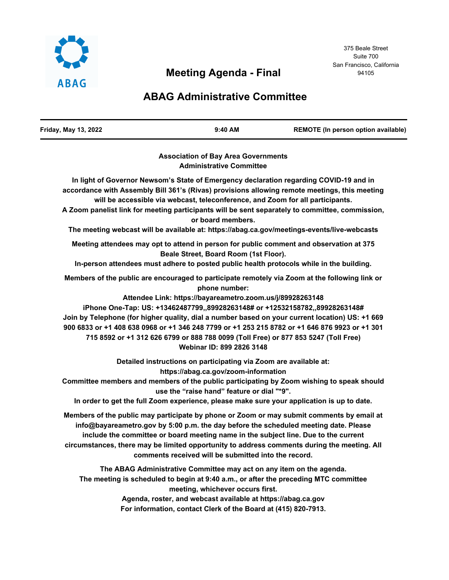

# **Meeting Agenda - Final**

# **ABAG Administrative Committee**

| Friday, May 13, 2022 | $9:40$ AM | REMOTE (In person option available) |
|----------------------|-----------|-------------------------------------|
|                      |           |                                     |

**Association of Bay Area Governments Administrative Committee**

**In light of Governor Newsom's State of Emergency declaration regarding COVID-19 and in accordance with Assembly Bill 361's (Rivas) provisions allowing remote meetings, this meeting will be accessible via webcast, teleconference, and Zoom for all participants. A Zoom panelist link for meeting participants will be sent separately to committee, commission, or board members. The meeting webcast will be available at: https://abag.ca.gov/meetings-events/live-webcasts Meeting attendees may opt to attend in person for public comment and observation at 375 Beale Street, Board Room (1st Floor). In-person attendees must adhere to posted public health protocols while in the building. Members of the public are encouraged to participate remotely via Zoom at the following link or phone number: Attendee Link: https://bayareametro.zoom.us/j/89928263148 iPhone One-Tap: US: +13462487799,,89928263148# or +12532158782,,89928263148# Join by Telephone (for higher quality, dial a number based on your current location) US: +1 669 900 6833 or +1 408 638 0968 or +1 346 248 7799 or +1 253 215 8782 or +1 646 876 9923 or +1 301 715 8592 or +1 312 626 6799 or 888 788 0099 (Toll Free) or 877 853 5247 (Toll Free) Webinar ID: 899 2826 3148 Detailed instructions on participating via Zoom are available at: https://abag.ca.gov/zoom-information Committee members and members of the public participating by Zoom wishing to speak should use the "raise hand" feature or dial "\*9". In order to get the full Zoom experience, please make sure your application is up to date. Members of the public may participate by phone or Zoom or may submit comments by email at info@bayareametro.gov by 5:00 p.m. the day before the scheduled meeting date. Please include the committee or board meeting name in the subject line. Due to the current circumstances, there may be limited opportunity to address comments during the meeting. All comments received will be submitted into the record. The ABAG Administrative Committee may act on any item on the agenda. The meeting is scheduled to begin at 9:40 a.m., or after the preceding MTC committee meeting, whichever occurs first. Agenda, roster, and webcast available at https://abag.ca.gov**

**For information, contact Clerk of the Board at (415) 820-7913.**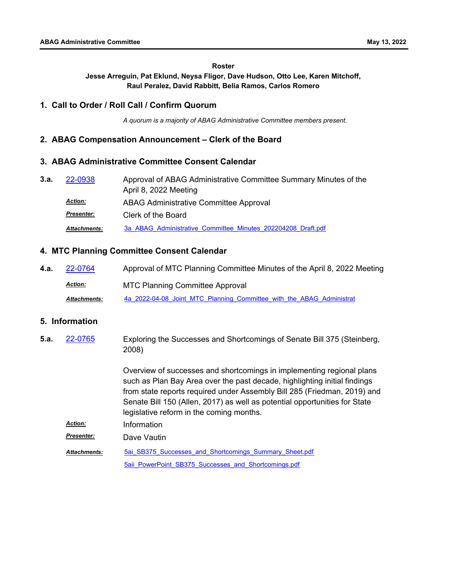#### **Roster**

**Jesse Arreguin, Pat Eklund, Neysa Fligor, Dave Hudson, Otto Lee, Karen Mitchoff, Raul Peralez, David Rabbitt, Belia Ramos, Carlos Romero**

## **1. Call to Order / Roll Call / Confirm Quorum**

*A quorum is a majority of ABAG Administrative Committee members present.*

## **2. ABAG Compensation Announcement – Clerk of the Board**

## **3. ABAG Administrative Committee Consent Calendar**

Approval of ABAG Administrative Committee Summary Minutes of the April 8, 2022 Meeting **3.a.** [22-0938](http://mtc.legistar.com/gateway.aspx?m=l&id=/matter.aspx?key=24197) ABAG Administrative Committee Approval *Action: Presenter:* Clerk of the Board *Attachments:* [3a\\_ABAG\\_Administrative\\_Committee\\_Minutes\\_202204208\\_Draft.pdf](http://mtc.legistar.com/gateway.aspx?M=F&ID=beafc2ce-e275-4429-bb6d-93e5ceba938c.pdf)

## **4. MTC Planning Committee Consent Calendar**

**4.a.** [22-0764](http://mtc.legistar.com/gateway.aspx?m=l&id=/matter.aspx?key=24023) Approval of MTC Planning Committee Minutes of the April 8, 2022 Meeting MTC Planning Committee Approval *Action:* Attachments: [4a\\_2022-04-08\\_Joint\\_MTC\\_Planning\\_Committee\\_with\\_the\\_ABAG\\_Administrat](http://mtc.legistar.com/gateway.aspx?M=F&ID=8f5276a6-3d21-4917-900c-0e402525802c.pdf)

## **5. Information**

Exploring the Successes and Shortcomings of Senate Bill 375 (Steinberg, 2008) Overview of successes and shortcomings in implementing regional plans such as Plan Bay Area over the past decade, highlighting initial findings from state reports required under Assembly Bill 285 (Friedman, 2019) and Senate Bill 150 (Allen, 2017) as well as potential opportunities for State legislative reform in the coming months. **5.a.** [22-0765](http://mtc.legistar.com/gateway.aspx?m=l&id=/matter.aspx?key=24024) *Action:* Information *Presenter:* Dave Vautin 5ai SB375 Successes and Shortcomings Summary Sheet.pdf *Attachments:*

5aii PowerPoint SB375 Successes and Shortcomings.pdf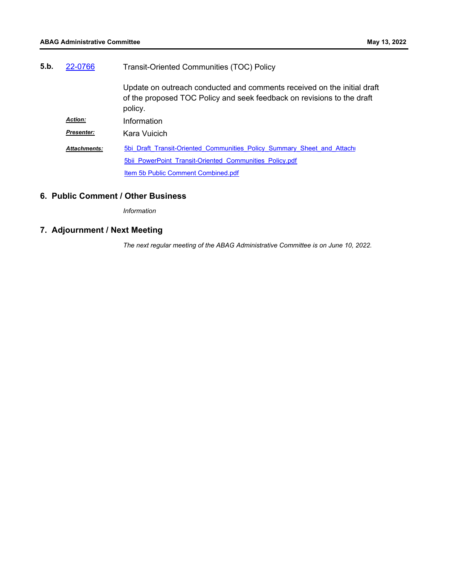| 5.b. | 22-0766             | Transit-Oriented Communities (TOC) Policy                                                                                                                    |  |
|------|---------------------|--------------------------------------------------------------------------------------------------------------------------------------------------------------|--|
|      |                     | Update on outreach conducted and comments received on the initial draft<br>of the proposed TOC Policy and seek feedback on revisions to the draft<br>policy. |  |
|      | <b>Action:</b>      | Information                                                                                                                                                  |  |
|      | <b>Presenter:</b>   | Kara Vuicich                                                                                                                                                 |  |
|      | <b>Attachments:</b> | 5bi Draft Transit-Oriented Communities Policy Summary Sheet and Attach                                                                                       |  |
|      |                     | 5bii PowerPoint Transit-Oriented Communities Policy.pdf                                                                                                      |  |
|      |                     | Item 5b Public Comment Combined.pdf                                                                                                                          |  |

# **6. Public Comment / Other Business**

*Information*

# **7. Adjournment / Next Meeting**

*The next regular meeting of the ABAG Administrative Committee is on June 10, 2022.*